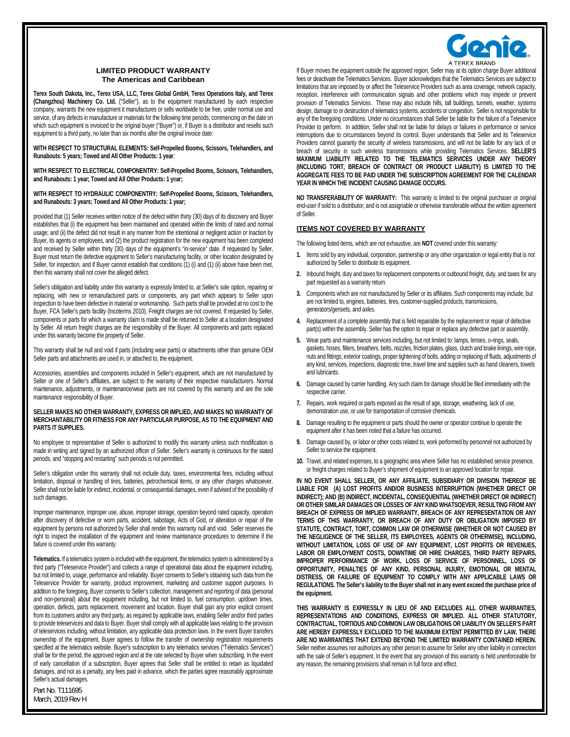

# **LIMITED PRODUCT WARRANTY The Americas and Caribbean**

**Terex South Dakota, Inc., Terex USA, LLC, Terex Global GmbH, Terex Operations Italy, and Terex (Changzhou) Machinery Co. Ltd.** ("Seller"), as to the equipment manufactured by each respective company, warrants the new equipment it manufactures or sells worldwide to be free, under normal use and service, of any defects in manufacture or materials for the following time periods, commencing on the date on which such equipment is invoiced to the original buyer ("Buyer") or, if Buyer is a distributor and resells such equipment to a third party, no later than six months after the original invoice date:

**WITH RESPECT TO STRUCTURAL ELEMENTS: Self-Propelled Booms, Scissors, Telehandlers, and Runabouts: 5 years; Towed and All Other Products: 1 year**;

**WITH RESPECT TO ELECTRICAL COMPONENTRY: Self-Propelled Booms, Scissors, Telehandlers, and Runabouts: 1 year; Towed and All Other Products: 1 y**e**ar;** 

**WITH RESPECT TO HYDRAULIC COMPONENTRY: Self-Propelled Booms, Scissors, Telehandlers, and Runabouts: 3 years; Towed and All Other Products: 1 year;** 

provided that (1) Seller receives written notice of the defect within thirty (30) days of its discovery and Buyer establishes that (i) the equipment has been maintained and operated within the limits of rated and normal usage; and (ii) the defect did not result in any manner from the intentional or negligent action or inaction by Buyer, its agents or employees, and (2) the product registration for the new equipment has been completed and received by Seller within thirty (30) days of the equipment's "in-service" date. If requested by Seller, Buyer must return the defective equipment to Seller's manufacturing facility, or other location designated by Seller, for inspection, and if Buyer cannot establish that conditions (1) (i) and (1) (ii) above have been met, then this warranty shall not cover the alleged defect.

Seller's obligation and liability under this warranty is expressly limited to, at Seller's sole option, repairing or replacing, with new or remanufactured parts or components, any part which appears to Seller upon inspection to have been defective in material or workmanship. Such parts shall be provided at no cost to the Buyer, FCA Seller's parts facility (Incoterms 2010). Freight charges are not covered. If requested by Seller, components or parts for which a warranty claim is made shall be returned to Seller at a location designated by Seller. All return freight charges are the responsibility of the Buyer. All components and parts replaced under this warranty become the property of Seller.

This warranty shall be null and void if parts (including wear parts) or attachments other than genuine OEM Seller parts and attachments are used in, or attached to, the equipment.

Accessories, assemblies and components included in Seller's equipment, which are not manufactured by Seller or one of Seller's affiliates, are subject to the warranty of their respective manufacturers. Normal maintenance, adjustments, or maintenance/wear parts are not covered by this warranty and are the sole maintenance responsibility of Buyer.

#### **SELLER MAKES NO OTHER WARRANTY, EXPRESS OR IMPLIED, AND MAKES NO WARRANTY OF MERCHANTABILITY OR FITNESS FOR ANY PARTICULAR PURPOSE, AS TO THE EQUIPMENT AND PARTS IT SUPPLIES.**

No employee or representative of Seller is authorized to modify this warranty unless such modification is made in writing and signed by an authorized officer of Seller. Seller's warranty is continuous for the stated periods, and "stopping and restarting" such periods is not permitted.

Seller's obligation under this warranty shall not include duty, taxes, environmental fees, including without limitation, disposal or handling of tires, batteries, petrochemical items, or any other charges whatsoever. Seller shall not be liable for indirect, incidental, or consequential damages, even if advised of the possibility of such damages.

Improper maintenance, improper use, abuse, improper storage, operation beyond rated capacity, operation after discovery of defective or worn parts, accident, sabotage, Acts of God, or alteration or repair of the equipment by persons not authorized by Seller shall render this warranty null and void. Seller reserves the right to inspect the installation of the equipment and review maintenance procedures to determine if the failure is covered under this warranty.

**Telematics.** If a telematics system is included with the equipment, the telematics system is administered by a third party ("Teleservice Provider") and collects a range of operational data about the equipment including, but not limited to, usage, performance and reliability. Buyer consents to Seller's obtaining such data from the Teleservice Provider for warranty, product improvement, marketing and customer support purposes. In addition to the foregoing, Buyer consents to Seller's collection, management and reporting of data (personal and non-personal) about the equipment including, but not limited to, fuel consumption, up/down times, operation, defects, parts replacement, movement and location. Buyer shall gain any prior explicit consent from its customers and/or any third party, as required by applicable laws, enabling Seller and/or third parties to provide teleservices and data to Buyer. Buyer shall comply with all applicable laws relating to the provision of teleservices including, without limitation, any applicable data protection laws. In the event Buyer transfers ownership of the equipment, Buyer agrees to follow the transfer of ownership registration requirements specified at the telematics website. Buyer's subscription to any telematics services ("Telematics Services") shall be for the period, the approved region and at the rate selected by Buyer when subscribing. In the event of early cancellation of a subscription, Buyer agrees that Seller shall be entitled to retain as liquidated damages, and not as a penalty, any fees paid in advance, which the parties agree reasonably approximate Seller's actual damages.

If Buyer moves the equipment outside the approved region, Seller may at its option charge Buyer additional fees or deactivate the Telematics Services. Buyer acknowledges that the Telematics Services are subject to limitations that are imposed by or affect the Teleservice Providers such as area coverage, network capacity, reception, interference with communication signals and other problems which may impede or prevent provision of Telematics Services. These may also include hills, tall buildings, tunnels, weather, systems design, damage to or destruction of telematics systems, accidents or congestion. Seller is not responsible for any of the foregoing conditions. Under no circumstances shall Seller be liable for the failure of a Teleservice Provider to perform. In addition, Seller shall not be liable for delays or failures in performance or service interruptions due to circumstances beyond its control. Buyer understands that Seller and its Teleservice Providers cannot quaranty the security of wireless transmissions, and will not be liable for any lack of or breach of security in such wireless transmissions while providing Telematics Services. **SELLER'S MAXIMUM LIABILITY RELATED TO THE TELEMATICS SERVICES UNDER ANY THEORY (INCLUDING TORT, BREACH OF CONTRACT OR PRODUCT LIABILITY) IS LIMITED TO THE AGGREGATE FEES TO BE PAID UNDER THE SUBSCRIPTION AGREEMENT FOR THE CALENDAR YEAR IN WHICH THE INCIDENT CAUSING DAMAGE OCCURS.** 

**NO TRANSFERABILITY OF WARRANTY:** This warranty is limited to the original purchaser or original end-user if sold to a distributor, and is not assignable or otherwise transferable without the written agreement of Seller.

### **ITEMS NOT COVERED BY WARRANTY**

The following listed items, which are not exhaustive, are **NOT** covered under this warranty:

- **1.** Items sold by any individual, corporation, partnership or any other organization or legal entity that is not authorized by Seller to distribute its equipment.
- **2.** Inbound freight, duty and taxes for replacement components or outbound freight, duty, and taxes for any part requested as a warranty return.
- **3.** Components which are not manufactured by Seller or its affiliates. Such components may include, but are not limited to, engines, batteries, tires, customer-supplied products, transmissions, generators/gensets, and axles.
- **4.** Replacement of a complete assembly that is field repairable by the replacement or repair of defective part(s) within the assembly. Seller has the option to repair or replace any defective part or assembly.
- **5.** Wear parts and maintenance services including, but not limited to: lamps, lenses, o-rings, seals, gaskets, hoses, filters, breathers, belts, nozzles, friction plates, glass, clutch and brake linings, wire rope, nuts and fittings, exterior coatings, proper tightening of bolts, adding or replacing of fluids, adjustments of any kind, services, inspections, diagnostic time, travel time and supplies such as hand cleaners, towels and lubricants.
- **6.** Damage caused by carrier handling. Any such claim for damage should be filed immediately with the respective carrier.
- **7.** Repairs, work required or parts exposed as the result of age, storage, weathering, lack of use, demonstration use, or use for transportation of corrosive chemicals.
- **8.** Damage resulting to the equipment or parts should the owner or operator continue to operate the equipment after it has been noted that a failure has occurred.
- **9.** Damage caused by, or labor or other costs related to, work performed by personnel not authorized by Seller to service the equipment.
- **10.** Travel, and related expenses, to a geographic area where Seller has no established service presence, or freight charges related to Buyer's shipment of equipment to an approved location for repair.

**IN NO EVENT SHALL SELLER, OR ANY AFFILIATE, SUBSIDIARY OR DIVISION THEREOF BE LIABLE FOR (A) LOST PROFITS AND/OR BUSINESS INTERRUPTION (WHETHER DIRECT OR INDIRECT); AND (B) INDIRECT, INCIDENTAL, CONSEQUENTIAL (WHETHER DIRECT OR INDIRECT) OR OTHER SIMILAR DAMAGES OR LOSSES OF ANY KIND WHATSOEVER, RESULTING FROM ANY BREACH OF EXPRESS OR IMPLIED WARRANTY, BREACH OF ANY REPRESENTATION OR ANY TERMS OF THIS WARRANTY, OR BREACH OF ANY DUTY OR OBLIGATION IMPOSED BY STATUTE, CONTRACT, TORT, COMMON LAW OR OTHERWISE (WHETHER OR NOT CAUSED BY THE NEGLIGENCE OF THE SELLER, ITS EMPLOYEES, AGENTS OR OTHERWISE), INCLUDING, WITHOUT LIMITATION, LOSS OF USE OF ANY EQUIPMENT, LOST PROFITS OR REVENUES, LABOR OR EMPLOYMENT COSTS, DOWNTIME OR HIRE CHARGES, THIRD PARTY REPAIRS, IMPROPER PERFORMANCE OF WORK, LOSS OF SERVICE OF PERSONNEL, LOSS OF OPPORTUNITY, PENALTIES OF ANY KIND, PERSONAL INJURY, EMOTIONAL OR MENTAL DISTRESS, OR FAILURE OF EQUIPMENT TO COMPLY WITH ANY APPLICABLE LAWS OR REGULATIONS. The Seller's liability to the Buyer shall not in any event exceed the purchase price of the equipment.** 

**THIS WARRANTY IS EXPRESSLY IN LIEU OF AND EXCLUDES ALL OTHER WARRANTIES, REPRESENTATIONS AND CONDITIONS, EXPRESS OR IMPLIED. ALL OTHER STATUTORY, CONTRACTUAL, TORTIOUS AND COMMON LAW OBLIGATIONS OR LIABILITY ON SELLER'S PART ARE HEREBY EXPRESSLY EXCLUDED TO THE MAXIMUM EXTENT PERMITTED BY LAW. THERE ARE NO WARRANTIES THAT EXTEND BEYOND THE LIMITED WARRANTY CONTAINED HEREIN.** Seller neither assumes nor authorizes any other person to assume for Seller any other liability in connection with the sale of Seller's equipment. In the event that any provision of this warranty is held unenforceable for any reason, the remaining provisions shall remain in full force and effect.

Part No. T111695 March, 2019 Rev H